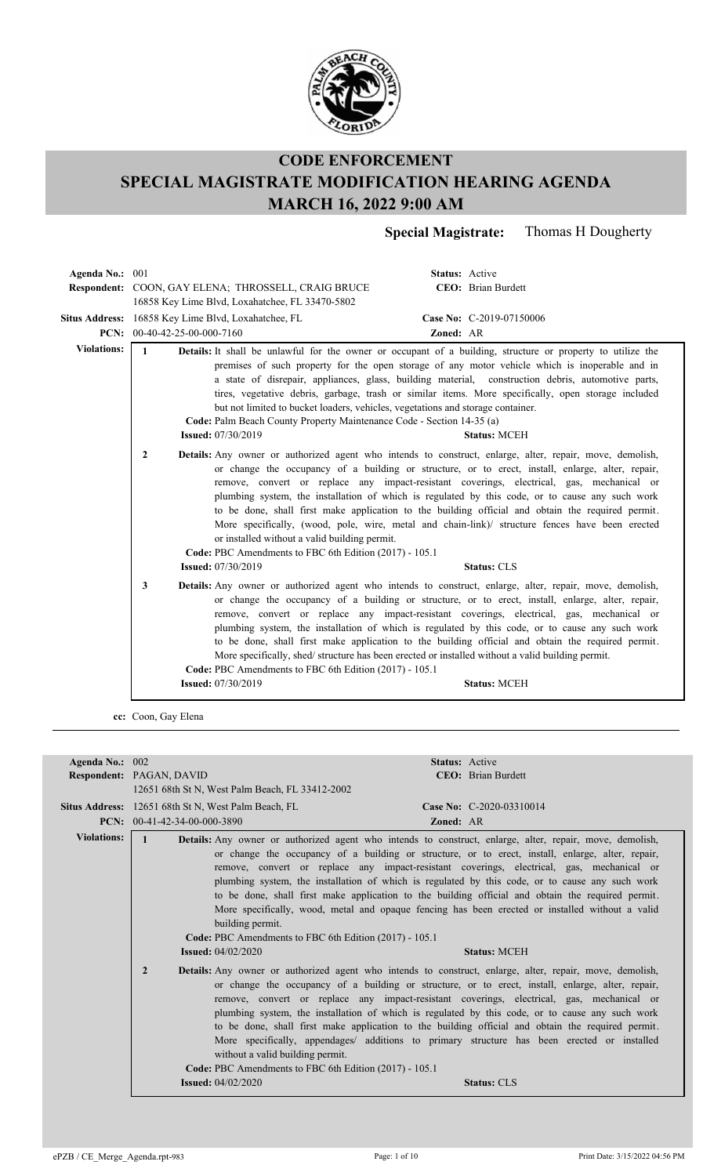

**Special Magistrate:** Thomas H Dougherty

| Agenda No.: 001    |                                |                                                                                                                                                                                         | Status: Active |                                                                                                                                                                                                                                                                                                                                                                                                                                                                                                                                                                                                                                             |
|--------------------|--------------------------------|-----------------------------------------------------------------------------------------------------------------------------------------------------------------------------------------|----------------|---------------------------------------------------------------------------------------------------------------------------------------------------------------------------------------------------------------------------------------------------------------------------------------------------------------------------------------------------------------------------------------------------------------------------------------------------------------------------------------------------------------------------------------------------------------------------------------------------------------------------------------------|
|                    |                                | <b>Respondent: COON, GAY ELENA; THROSSELL, CRAIG BRUCE</b>                                                                                                                              |                | CEO: Brian Burdett                                                                                                                                                                                                                                                                                                                                                                                                                                                                                                                                                                                                                          |
|                    |                                | 16858 Key Lime Blvd, Loxahatchee, FL 33470-5802                                                                                                                                         |                |                                                                                                                                                                                                                                                                                                                                                                                                                                                                                                                                                                                                                                             |
|                    |                                | Situs Address: 16858 Key Lime Blvd, Loxahatchee, FL                                                                                                                                     |                | Case No: C-2019-07150006                                                                                                                                                                                                                                                                                                                                                                                                                                                                                                                                                                                                                    |
|                    | PCN: $00-40-42-25-00-000-7160$ |                                                                                                                                                                                         | Zoned: AR      |                                                                                                                                                                                                                                                                                                                                                                                                                                                                                                                                                                                                                                             |
| <b>Violations:</b> | $\mathbf{1}$                   | but not limited to bucket loaders, vehicles, vegetations and storage container.<br>Code: Palm Beach County Property Maintenance Code - Section 14-35 (a)<br><b>Issued:</b> 07/30/2019   |                | <b>Details:</b> It shall be unlawful for the owner or occupant of a building, structure or property to utilize the<br>premises of such property for the open storage of any motor vehicle which is inoperable and in<br>a state of disrepair, appliances, glass, building material, construction debris, automotive parts,<br>tires, vegetative debris, garbage, trash or similar items. More specifically, open storage included<br><b>Status: MCEH</b>                                                                                                                                                                                    |
|                    | $\overline{2}$                 | or installed without a valid building permit.<br>Code: PBC Amendments to FBC 6th Edition (2017) - 105.1<br><b>Issued: 07/30/2019</b>                                                    |                | Details: Any owner or authorized agent who intends to construct, enlarge, alter, repair, move, demolish,<br>or change the occupancy of a building or structure, or to erect, install, enlarge, alter, repair,<br>remove, convert or replace any impact-resistant coverings, electrical, gas, mechanical or<br>plumbing system, the installation of which is regulated by this code, or to cause any such work<br>to be done, shall first make application to the building official and obtain the required permit.<br>More specifically, (wood, pole, wire, metal and chain-link)/ structure fences have been erected<br><b>Status: CLS</b> |
|                    | 3                              | More specifically, shed/structure has been erected or installed without a valid building permit.<br>Code: PBC Amendments to FBC 6th Edition (2017) - 105.1<br><b>Issued: 07/30/2019</b> |                | Details: Any owner or authorized agent who intends to construct, enlarge, alter, repair, move, demolish,<br>or change the occupancy of a building or structure, or to erect, install, enlarge, alter, repair,<br>remove, convert or replace any impact-resistant coverings, electrical, gas, mechanical or<br>plumbing system, the installation of which is regulated by this code, or to cause any such work<br>to be done, shall first make application to the building official and obtain the required permit.<br><b>Status: MCEH</b>                                                                                                   |
|                    | cc: Coon, Gay Elena            |                                                                                                                                                                                         |                |                                                                                                                                                                                                                                                                                                                                                                                                                                                                                                                                                                                                                                             |

| Agenda No.: 002    |                                                                                                                                           | <b>Status: Active</b>                                                                                                                                                                                                                                                                                                                                                                                                                                                                                                                                                                                                                          |
|--------------------|-------------------------------------------------------------------------------------------------------------------------------------------|------------------------------------------------------------------------------------------------------------------------------------------------------------------------------------------------------------------------------------------------------------------------------------------------------------------------------------------------------------------------------------------------------------------------------------------------------------------------------------------------------------------------------------------------------------------------------------------------------------------------------------------------|
|                    | Respondent: PAGAN, DAVID                                                                                                                  | <b>CEO</b> : Brian Burdett                                                                                                                                                                                                                                                                                                                                                                                                                                                                                                                                                                                                                     |
|                    | 12651 68th St N, West Palm Beach, FL 33412-2002                                                                                           |                                                                                                                                                                                                                                                                                                                                                                                                                                                                                                                                                                                                                                                |
|                    | Situs Address: 12651 68th St N, West Palm Beach, FL                                                                                       | Case No: C-2020-03310014                                                                                                                                                                                                                                                                                                                                                                                                                                                                                                                                                                                                                       |
|                    | <b>PCN:</b> $00-41-42-34-00-000-3890$                                                                                                     | <b>Zoned: AR</b>                                                                                                                                                                                                                                                                                                                                                                                                                                                                                                                                                                                                                               |
| <b>Violations:</b> |                                                                                                                                           | Details: Any owner or authorized agent who intends to construct, enlarge, alter, repair, move, demolish,                                                                                                                                                                                                                                                                                                                                                                                                                                                                                                                                       |
|                    | building permit.<br>Code: PBC Amendments to FBC 6th Edition (2017) - 105.1<br><b>Issued:</b> 04/02/2020                                   | or change the occupancy of a building or structure, or to erect, install, enlarge, alter, repair,<br>remove, convert or replace any impact-resistant coverings, electrical, gas, mechanical or<br>plumbing system, the installation of which is regulated by this code, or to cause any such work<br>to be done, shall first make application to the building official and obtain the required permit.<br>More specifically, wood, metal and opaque fencing has been erected or installed without a valid<br><b>Status: MCEH</b>                                                                                                               |
|                    | $\overline{2}$<br>without a valid building permit.<br>Code: PBC Amendments to FBC 6th Edition (2017) - 105.1<br><b>Issued: 04/02/2020</b> | <b>Details:</b> Any owner or authorized agent who intends to construct, enlarge, alter, repair, move, demolish,<br>or change the occupancy of a building or structure, or to erect, install, enlarge, alter, repair,<br>remove, convert or replace any impact-resistant coverings, electrical, gas, mechanical or<br>plumbing system, the installation of which is regulated by this code, or to cause any such work<br>to be done, shall first make application to the building official and obtain the required permit.<br>More specifically, appendages/ additions to primary structure has been erected or installed<br><b>Status: CLS</b> |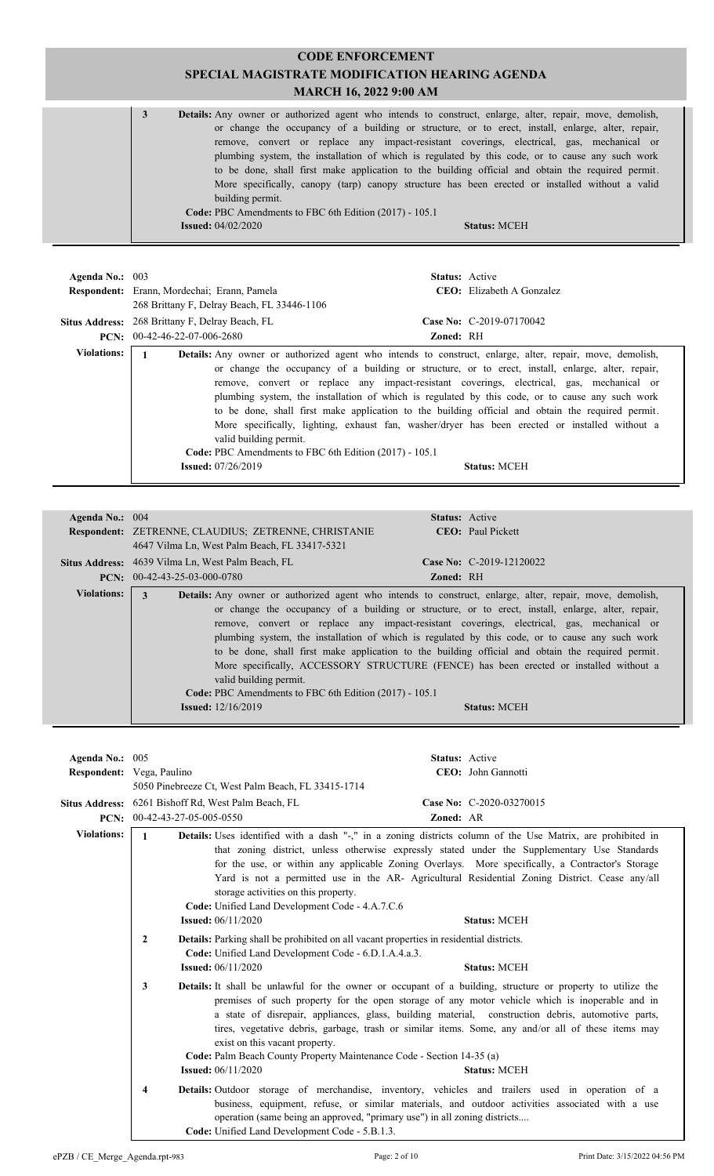| 3 | <b>Details:</b> Any owner or authorized agent who intends to construct, enlarge, alter, repair, move, demolish, |                     |  |
|---|-----------------------------------------------------------------------------------------------------------------|---------------------|--|
|   | or change the occupancy of a building or structure, or to erect, install, enlarge, alter, repair,               |                     |  |
|   | remove, convert or replace any impact-resistant coverings, electrical, gas, mechanical or                       |                     |  |
|   | plumbing system, the installation of which is regulated by this code, or to cause any such work                 |                     |  |
|   | to be done, shall first make application to the building official and obtain the required permit.               |                     |  |
|   | More specifically, canopy (tarp) canopy structure has been erected or installed without a valid                 |                     |  |
|   | building permit.                                                                                                |                     |  |
|   | Code: PBC Amendments to FBC 6th Edition (2017) - 105.1                                                          |                     |  |
|   | <b>Issued:</b> $04/02/2020$                                                                                     | <b>Status: MCEH</b> |  |
|   |                                                                                                                 |                     |  |

| Agenda No.: $003$  | Respondent: Erann, Mordechai; Erann, Pamela<br>268 Brittany F, Delray Beach, FL 33446-1106                    | <b>Status:</b> Active<br><b>CEO</b> : Elizabeth A Gonzalez                                                                                                                                                                                                                                                                                                                                                                                                                                                                                                                                                                                         |
|--------------------|---------------------------------------------------------------------------------------------------------------|----------------------------------------------------------------------------------------------------------------------------------------------------------------------------------------------------------------------------------------------------------------------------------------------------------------------------------------------------------------------------------------------------------------------------------------------------------------------------------------------------------------------------------------------------------------------------------------------------------------------------------------------------|
|                    | Situs Address: 268 Brittany F, Delray Beach, FL                                                               | Case No: $C-2019-07170042$                                                                                                                                                                                                                                                                                                                                                                                                                                                                                                                                                                                                                         |
|                    | $PCN: 00-42-46-22-07-006-2680$                                                                                | Zoned: RH                                                                                                                                                                                                                                                                                                                                                                                                                                                                                                                                                                                                                                          |
| <b>Violations:</b> | valid building permit.<br>Code: PBC Amendments to FBC 6th Edition (2017) - 105.1<br><b>Issued:</b> 07/26/2019 | <b>Details:</b> Any owner or authorized agent who intends to construct, enlarge, alter, repair, move, demolish,<br>or change the occupancy of a building or structure, or to erect, install, enlarge, alter, repair,<br>remove, convert or replace any impact-resistant coverings, electrical, gas, mechanical or<br>plumbing system, the installation of which is regulated by this code, or to cause any such work<br>to be done, shall first make application to the building official and obtain the required permit.<br>More specifically, lighting, exhaust fan, washer/dryer has been erected or installed without a<br><b>Status: MCEH</b> |

| Agenda No.: 004    | <b>Status:</b> Active                                                                                                                                                                                                                                                                                                                                                                                                                                                                                                                                                                                                                                                                                                                                              |
|--------------------|--------------------------------------------------------------------------------------------------------------------------------------------------------------------------------------------------------------------------------------------------------------------------------------------------------------------------------------------------------------------------------------------------------------------------------------------------------------------------------------------------------------------------------------------------------------------------------------------------------------------------------------------------------------------------------------------------------------------------------------------------------------------|
|                    | Respondent: ZETRENNE, CLAUDIUS; ZETRENNE, CHRISTANIE<br><b>CEO</b> : Paul Pickett                                                                                                                                                                                                                                                                                                                                                                                                                                                                                                                                                                                                                                                                                  |
|                    | 4647 Vilma Ln, West Palm Beach, FL 33417-5321                                                                                                                                                                                                                                                                                                                                                                                                                                                                                                                                                                                                                                                                                                                      |
|                    |                                                                                                                                                                                                                                                                                                                                                                                                                                                                                                                                                                                                                                                                                                                                                                    |
|                    | Situs Address: 4639 Vilma Ln, West Palm Beach, FL<br>Case No: $C-2019-12120022$                                                                                                                                                                                                                                                                                                                                                                                                                                                                                                                                                                                                                                                                                    |
|                    | $PCN: 00-42-43-25-03-000-0780$<br><b>Zoned: RH</b>                                                                                                                                                                                                                                                                                                                                                                                                                                                                                                                                                                                                                                                                                                                 |
| <b>Violations:</b> | <b>Details:</b> Any owner or authorized agent who intends to construct, enlarge, alter, repair, move, demolish,<br>3<br>or change the occupancy of a building or structure, or to erect, install, enlarge, alter, repair,<br>remove, convert or replace any impact-resistant coverings, electrical, gas, mechanical or<br>plumbing system, the installation of which is regulated by this code, or to cause any such work<br>to be done, shall first make application to the building official and obtain the required permit.<br>More specifically, ACCESSORY STRUCTURE (FENCE) has been erected or installed without a<br>valid building permit.<br>Code: PBC Amendments to FBC 6th Edition (2017) - 105.1<br><b>Issued:</b> $12/16/2019$<br><b>Status: MCEH</b> |

| Agenda No.: 005    |                           |                                                                                                                                                                                                                                                                                                                                                                                                                                                                    |           | Status: Active                                                                                                                                                                                                                                                                                      |
|--------------------|---------------------------|--------------------------------------------------------------------------------------------------------------------------------------------------------------------------------------------------------------------------------------------------------------------------------------------------------------------------------------------------------------------------------------------------------------------------------------------------------------------|-----------|-----------------------------------------------------------------------------------------------------------------------------------------------------------------------------------------------------------------------------------------------------------------------------------------------------|
|                    | Respondent: Vega, Paulino |                                                                                                                                                                                                                                                                                                                                                                                                                                                                    |           | CEO: John Gannotti                                                                                                                                                                                                                                                                                  |
|                    |                           | 5050 Pinebreeze Ct, West Palm Beach, FL 33415-1714                                                                                                                                                                                                                                                                                                                                                                                                                 |           |                                                                                                                                                                                                                                                                                                     |
|                    |                           | Situs Address: 6261 Bishoff Rd, West Palm Beach, FL                                                                                                                                                                                                                                                                                                                                                                                                                |           | Case No: C-2020-03270015                                                                                                                                                                                                                                                                            |
| PCN:               | 00-42-43-27-05-005-0550   |                                                                                                                                                                                                                                                                                                                                                                                                                                                                    | Zoned: AR |                                                                                                                                                                                                                                                                                                     |
| <b>Violations:</b> | $\mathbf{1}$              |                                                                                                                                                                                                                                                                                                                                                                                                                                                                    |           | Details: Uses identified with a dash "-," in a zoning districts column of the Use Matrix, are prohibited in                                                                                                                                                                                         |
|                    |                           | storage activities on this property.<br>Code: Unified Land Development Code - 4.A.7.C.6                                                                                                                                                                                                                                                                                                                                                                            |           | that zoning district, unless otherwise expressly stated under the Supplementary Use Standards<br>for the use, or within any applicable Zoning Overlays. More specifically, a Contractor's Storage<br>Yard is not a permitted use in the AR- Agricultural Residential Zoning District. Cease any/all |
|                    |                           | <b>Issued:</b> $06/11/2020$                                                                                                                                                                                                                                                                                                                                                                                                                                        |           | <b>Status: MCEH</b>                                                                                                                                                                                                                                                                                 |
|                    | 2                         | <b>Details:</b> Parking shall be prohibited on all vacant properties in residential districts.<br>Code: Unified Land Development Code - 6.D.1.A.4.a.3.<br><b>Issued:</b> 06/11/2020                                                                                                                                                                                                                                                                                |           | <b>Status: MCEH</b>                                                                                                                                                                                                                                                                                 |
|                    |                           |                                                                                                                                                                                                                                                                                                                                                                                                                                                                    |           |                                                                                                                                                                                                                                                                                                     |
|                    | 3                         | <b>Details:</b> It shall be unlawful for the owner or occupant of a building, structure or property to utilize the<br>premises of such property for the open storage of any motor vehicle which is inoperable and in<br>a state of disrepair, appliances, glass, building material, construction debris, automotive parts,<br>tires, vegetative debris, garbage, trash or similar items. Some, any and/or all of these items may<br>exist on this vacant property. |           |                                                                                                                                                                                                                                                                                                     |
|                    |                           | Code: Palm Beach County Property Maintenance Code - Section 14-35 (a)                                                                                                                                                                                                                                                                                                                                                                                              |           |                                                                                                                                                                                                                                                                                                     |
|                    |                           | <b>Issued:</b> $06/11/2020$                                                                                                                                                                                                                                                                                                                                                                                                                                        |           | <b>Status: MCEH</b>                                                                                                                                                                                                                                                                                 |
|                    | 4                         | operation (same being an approved, "primary use") in all zoning districts<br>Code: Unified Land Development Code - 5.B.1.3.                                                                                                                                                                                                                                                                                                                                        |           | <b>Details:</b> Outdoor storage of merchandise, inventory, vehicles and trailers used in operation of a<br>business, equipment, refuse, or similar materials, and outdoor activities associated with a use                                                                                          |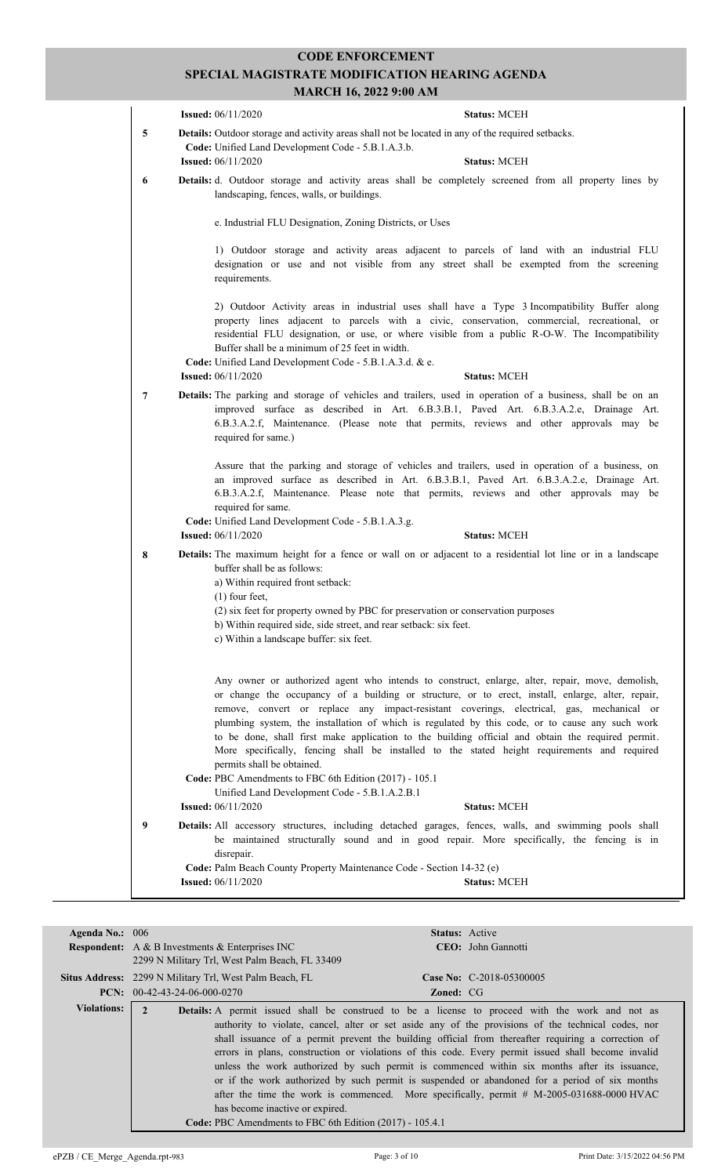|   | MARCII IV, 4944 7.00 AM                                                                                                                                                                                                                                                                                                                                                                                                                                                                                                              |                     |
|---|--------------------------------------------------------------------------------------------------------------------------------------------------------------------------------------------------------------------------------------------------------------------------------------------------------------------------------------------------------------------------------------------------------------------------------------------------------------------------------------------------------------------------------------|---------------------|
|   | <b>Issued:</b> 06/11/2020                                                                                                                                                                                                                                                                                                                                                                                                                                                                                                            | <b>Status: MCEH</b> |
| 5 | Details: Outdoor storage and activity areas shall not be located in any of the required setbacks.<br>Code: Unified Land Development Code - 5.B.1.A.3.b.<br><b>Issued:</b> 06/11/2020                                                                                                                                                                                                                                                                                                                                                 | <b>Status: MCEH</b> |
| 6 | Details: d. Outdoor storage and activity areas shall be completely screened from all property lines by<br>landscaping, fences, walls, or buildings.                                                                                                                                                                                                                                                                                                                                                                                  |                     |
|   | e. Industrial FLU Designation, Zoning Districts, or Uses                                                                                                                                                                                                                                                                                                                                                                                                                                                                             |                     |
|   | 1) Outdoor storage and activity areas adjacent to parcels of land with an industrial FLU<br>designation or use and not visible from any street shall be exempted from the screening<br>requirements.                                                                                                                                                                                                                                                                                                                                 |                     |
|   | 2) Outdoor Activity areas in industrial uses shall have a Type 3 Incompatibility Buffer along<br>property lines adjacent to parcels with a civic, conservation, commercial, recreational, or<br>residential FLU designation, or use, or where visible from a public R-O-W. The Incompatibility<br>Buffer shall be a minimum of 25 feet in width.<br>Code: Unified Land Development Code - 5.B.1.A.3.d. & e.<br><b>Issued:</b> 06/11/2020                                                                                             | <b>Status: MCEH</b> |
|   |                                                                                                                                                                                                                                                                                                                                                                                                                                                                                                                                      |                     |
| 7 | Details: The parking and storage of vehicles and trailers, used in operation of a business, shall be on an<br>improved surface as described in Art. 6.B.3.B.1, Paved Art. 6.B.3.A.2.e, Drainage Art.<br>6.B.3.A.2.f, Maintenance. (Please note that permits, reviews and other approvals may be<br>required for same.)                                                                                                                                                                                                               |                     |
|   | Assure that the parking and storage of vehicles and trailers, used in operation of a business, on<br>an improved surface as described in Art. 6.B.3.B.1, Paved Art. 6.B.3.A.2.e, Drainage Art.<br>6.B.3.A.2.f, Maintenance. Please note that permits, reviews and other approvals may be<br>required for same.                                                                                                                                                                                                                       |                     |
|   | Code: Unified Land Development Code - 5.B.1.A.3.g.<br><b>Issued:</b> 06/11/2020                                                                                                                                                                                                                                                                                                                                                                                                                                                      | <b>Status: MCEH</b> |
| 8 | Details: The maximum height for a fence or wall on or adjacent to a residential lot line or in a landscape<br>buffer shall be as follows:<br>a) Within required front setback:<br>$(1)$ four feet,                                                                                                                                                                                                                                                                                                                                   |                     |
|   | (2) six feet for property owned by PBC for preservation or conservation purposes                                                                                                                                                                                                                                                                                                                                                                                                                                                     |                     |
|   | b) Within required side, side street, and rear setback: six feet.<br>c) Within a landscape buffer: six feet.                                                                                                                                                                                                                                                                                                                                                                                                                         |                     |
|   | Any owner or authorized agent who intends to construct, enlarge, alter, repair, move, demolish,                                                                                                                                                                                                                                                                                                                                                                                                                                      |                     |
|   | or change the occupancy of a building or structure, or to erect, install, enlarge, alter, repair,<br>remove, convert or replace any impact-resistant coverings, electrical, gas, mechanical or<br>plumbing system, the installation of which is regulated by this code, or to cause any such work<br>to be done, shall first make application to the building official and obtain the required permit.<br>More specifically, fencing shall be installed to the stated height requirements and required<br>permits shall be obtained. |                     |
|   | Code: PBC Amendments to FBC 6th Edition (2017) - 105.1                                                                                                                                                                                                                                                                                                                                                                                                                                                                               |                     |
|   | Unified Land Development Code - 5.B.1.A.2.B.1<br><b>Issued:</b> 06/11/2020                                                                                                                                                                                                                                                                                                                                                                                                                                                           | <b>Status: MCEH</b> |
| 9 | Details: All accessory structures, including detached garages, fences, walls, and swimming pools shall                                                                                                                                                                                                                                                                                                                                                                                                                               |                     |
|   | be maintained structurally sound and in good repair. More specifically, the fencing is in<br>disrepair.                                                                                                                                                                                                                                                                                                                                                                                                                              |                     |
|   | Code: Palm Beach County Property Maintenance Code - Section 14-32 (e)                                                                                                                                                                                                                                                                                                                                                                                                                                                                |                     |
|   | <b>Issued:</b> 06/11/2020                                                                                                                                                                                                                                                                                                                                                                                                                                                                                                            | <b>Status: MCEH</b> |

| Agenda No.: $006$  |                                                                                                  | <b>Status:</b> Active                                                                                                                                                                                                                                                                                                                                                                                                                                                                                                                                                                                                                                                                                             |  |
|--------------------|--------------------------------------------------------------------------------------------------|-------------------------------------------------------------------------------------------------------------------------------------------------------------------------------------------------------------------------------------------------------------------------------------------------------------------------------------------------------------------------------------------------------------------------------------------------------------------------------------------------------------------------------------------------------------------------------------------------------------------------------------------------------------------------------------------------------------------|--|
|                    | <b>Respondent:</b> A & B Investments & Enterprises INC                                           | CEO: John Gannotti                                                                                                                                                                                                                                                                                                                                                                                                                                                                                                                                                                                                                                                                                                |  |
|                    | 2299 N Military Trl, West Palm Beach, FL 33409                                                   |                                                                                                                                                                                                                                                                                                                                                                                                                                                                                                                                                                                                                                                                                                                   |  |
|                    | Situs Address: 2299 N Military Trl, West Palm Beach, FL                                          | <b>Case No:</b> C-2018-05300005                                                                                                                                                                                                                                                                                                                                                                                                                                                                                                                                                                                                                                                                                   |  |
|                    | <b>PCN:</b> $00-42-43-24-06-000-0270$                                                            | <b>Zoned: CG</b>                                                                                                                                                                                                                                                                                                                                                                                                                                                                                                                                                                                                                                                                                                  |  |
| <b>Violations:</b> | 2<br>has become inactive or expired.<br>Code: PBC Amendments to FBC 6th Edition (2017) - 105.4.1 | Details: A permit issued shall be construed to be a license to proceed with the work and not as<br>authority to violate, cancel, alter or set aside any of the provisions of the technical codes, nor<br>shall issuance of a permit prevent the building official from thereafter requiring a correction of<br>errors in plans, construction or violations of this code. Every permit issued shall become invalid<br>unless the work authorized by such permit is commenced within six months after its issuance,<br>or if the work authorized by such permit is suspended or abandoned for a period of six months<br>after the time the work is commenced. More specifically, permit $#$ M-2005-031688-0000 HVAC |  |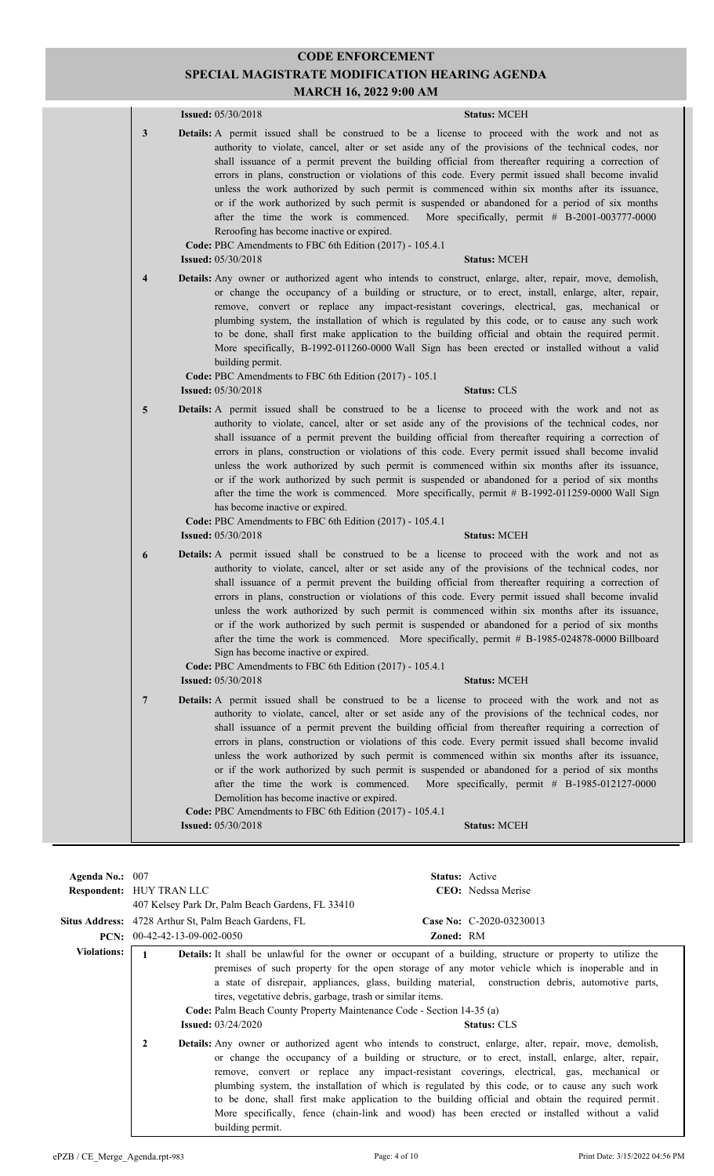## **CODE ENFORCEMENT SPECIAL MAGISTRATE MODIFICATION HEARING AGENDA**

**MARCH 16, 2022 9:00 AM**

|   | <b>Issued:</b> 05/30/2018                                                                                                          | <b>Status: MCEH</b>                                                                                                                                                                                                                                                                                                                                                                                                                                                                                                                                                                                                                                                                                                                                |
|---|------------------------------------------------------------------------------------------------------------------------------------|----------------------------------------------------------------------------------------------------------------------------------------------------------------------------------------------------------------------------------------------------------------------------------------------------------------------------------------------------------------------------------------------------------------------------------------------------------------------------------------------------------------------------------------------------------------------------------------------------------------------------------------------------------------------------------------------------------------------------------------------------|
| 3 | Reroofing has become inactive or expired.<br>Code: PBC Amendments to FBC 6th Edition (2017) - 105.4.1<br><b>Issued:</b> 05/30/2018 | <b>Details:</b> A permit issued shall be construed to be a license to proceed with the work and not as<br>authority to violate, cancel, alter or set aside any of the provisions of the technical codes, nor<br>shall issuance of a permit prevent the building official from thereafter requiring a correction of<br>errors in plans, construction or violations of this code. Every permit issued shall become invalid<br>unless the work authorized by such permit is commenced within six months after its issuance,<br>or if the work authorized by such permit is suspended or abandoned for a period of six months<br>after the time the work is commenced. More specifically, permit # B-2001-003777-0000<br><b>Status: MCEH</b>           |
| 4 |                                                                                                                                    | <b>Details:</b> Any owner or authorized agent who intends to construct, enlarge, alter, repair, move, demolish,                                                                                                                                                                                                                                                                                                                                                                                                                                                                                                                                                                                                                                    |
|   | building permit.<br>Code: PBC Amendments to FBC 6th Edition (2017) - 105.1                                                         | or change the occupancy of a building or structure, or to erect, install, enlarge, alter, repair,<br>remove, convert or replace any impact-resistant coverings, electrical, gas, mechanical or<br>plumbing system, the installation of which is regulated by this code, or to cause any such work<br>to be done, shall first make application to the building official and obtain the required permit.<br>More specifically, B-1992-011260-0000 Wall Sign has been erected or installed without a valid                                                                                                                                                                                                                                            |
|   | <b>Issued:</b> 05/30/2018                                                                                                          | <b>Status: CLS</b>                                                                                                                                                                                                                                                                                                                                                                                                                                                                                                                                                                                                                                                                                                                                 |
| 5 | has become inactive or expired.<br>Code: PBC Amendments to FBC 6th Edition (2017) - 105.4.1<br><b>Issued:</b> 05/30/2018           | <b>Details:</b> A permit issued shall be construed to be a license to proceed with the work and not as<br>authority to violate, cancel, alter or set aside any of the provisions of the technical codes, nor<br>shall issuance of a permit prevent the building official from thereafter requiring a correction of<br>errors in plans, construction or violations of this code. Every permit issued shall become invalid<br>unless the work authorized by such permit is commenced within six months after its issuance,<br>or if the work authorized by such permit is suspended or abandoned for a period of six months<br>after the time the work is commenced. More specifically, permit # B-1992-011259-0000 Wall Sign<br><b>Status: MCEH</b> |
| 6 |                                                                                                                                    | Details: A permit issued shall be construed to be a license to proceed with the work and not as                                                                                                                                                                                                                                                                                                                                                                                                                                                                                                                                                                                                                                                    |
|   | Sign has become inactive or expired.<br>Code: PBC Amendments to FBC 6th Edition (2017) - 105.4.1<br><b>Issued:</b> 05/30/2018      | authority to violate, cancel, alter or set aside any of the provisions of the technical codes, nor<br>shall issuance of a permit prevent the building official from thereafter requiring a correction of<br>errors in plans, construction or violations of this code. Every permit issued shall become invalid<br>unless the work authorized by such permit is commenced within six months after its issuance,<br>or if the work authorized by such permit is suspended or abandoned for a period of six months<br>after the time the work is commenced. More specifically, permit # B-1985-024878-0000 Billboard<br><b>Status: MCEH</b>                                                                                                           |
| 7 | after the time the work is commenced.<br>Demolition has become inactive or expired.                                                | <b>Details:</b> A permit issued shall be construed to be a license to proceed with the work and not as<br>authority to violate, cancel, alter or set aside any of the provisions of the technical codes, nor<br>shall issuance of a permit prevent the building official from thereafter requiring a correction of<br>errors in plans, construction or violations of this code. Every permit issued shall become invalid<br>unless the work authorized by such permit is commenced within six months after its issuance,<br>or if the work authorized by such permit is suspended or abandoned for a period of six months<br>More specifically, permit $#$ B-1985-012127-0000                                                                      |
|   | Code: PBC Amendments to FBC 6th Edition (2017) - 105.4.1                                                                           |                                                                                                                                                                                                                                                                                                                                                                                                                                                                                                                                                                                                                                                                                                                                                    |
|   | <b>Issued:</b> 05/30/2018                                                                                                          | <b>Status: MCEH</b>                                                                                                                                                                                                                                                                                                                                                                                                                                                                                                                                                                                                                                                                                                                                |

| Agenda No.: 007    |                                                                                                                                                                                                                                                                                                                                                                                                                                                                                                                             | <b>Status:</b> Active                                                                                                                                                                                                                                                                                                                                                                                                                                                                                                                                                                                                     |
|--------------------|-----------------------------------------------------------------------------------------------------------------------------------------------------------------------------------------------------------------------------------------------------------------------------------------------------------------------------------------------------------------------------------------------------------------------------------------------------------------------------------------------------------------------------|---------------------------------------------------------------------------------------------------------------------------------------------------------------------------------------------------------------------------------------------------------------------------------------------------------------------------------------------------------------------------------------------------------------------------------------------------------------------------------------------------------------------------------------------------------------------------------------------------------------------------|
|                    | <b>Respondent: HUY TRAN LLC</b>                                                                                                                                                                                                                                                                                                                                                                                                                                                                                             | <b>CEO</b> : Nedssa Merise                                                                                                                                                                                                                                                                                                                                                                                                                                                                                                                                                                                                |
|                    | 407 Kelsey Park Dr. Palm Beach Gardens, FL 33410                                                                                                                                                                                                                                                                                                                                                                                                                                                                            |                                                                                                                                                                                                                                                                                                                                                                                                                                                                                                                                                                                                                           |
|                    | <b>Situs Address:</b> 4728 Arthur St, Palm Beach Gardens, FL                                                                                                                                                                                                                                                                                                                                                                                                                                                                | Case No: C-2020-03230013                                                                                                                                                                                                                                                                                                                                                                                                                                                                                                                                                                                                  |
| PCN:               | 00-42-42-13-09-002-0050                                                                                                                                                                                                                                                                                                                                                                                                                                                                                                     | <b>Zoned: RM</b>                                                                                                                                                                                                                                                                                                                                                                                                                                                                                                                                                                                                          |
| <b>Violations:</b> | <b>Details:</b> It shall be unlawful for the owner or occupant of a building, structure or property to utilize the<br>1<br>premises of such property for the open storage of any motor vehicle which is inoperable and in<br>a state of disrepair, appliances, glass, building material, construction debris, automotive parts,<br>tires, vegetative debris, garbage, trash or similar items.<br>Code: Palm Beach County Property Maintenance Code - Section 14-35 (a)<br><b>Issued:</b> $03/24/2020$<br><b>Status: CLS</b> |                                                                                                                                                                                                                                                                                                                                                                                                                                                                                                                                                                                                                           |
|                    | $\mathbf{2}$<br>building permit.                                                                                                                                                                                                                                                                                                                                                                                                                                                                                            | <b>Details:</b> Any owner or authorized agent who intends to construct, enlarge, alter, repair, move, demolish,<br>or change the occupancy of a building or structure, or to erect, install, enlarge, alter, repair,<br>remove, convert or replace any impact-resistant coverings, electrical, gas, mechanical or<br>plumbing system, the installation of which is regulated by this code, or to cause any such work<br>to be done, shall first make application to the building official and obtain the required permit.<br>More specifically, fence (chain-link and wood) has been erected or installed without a valid |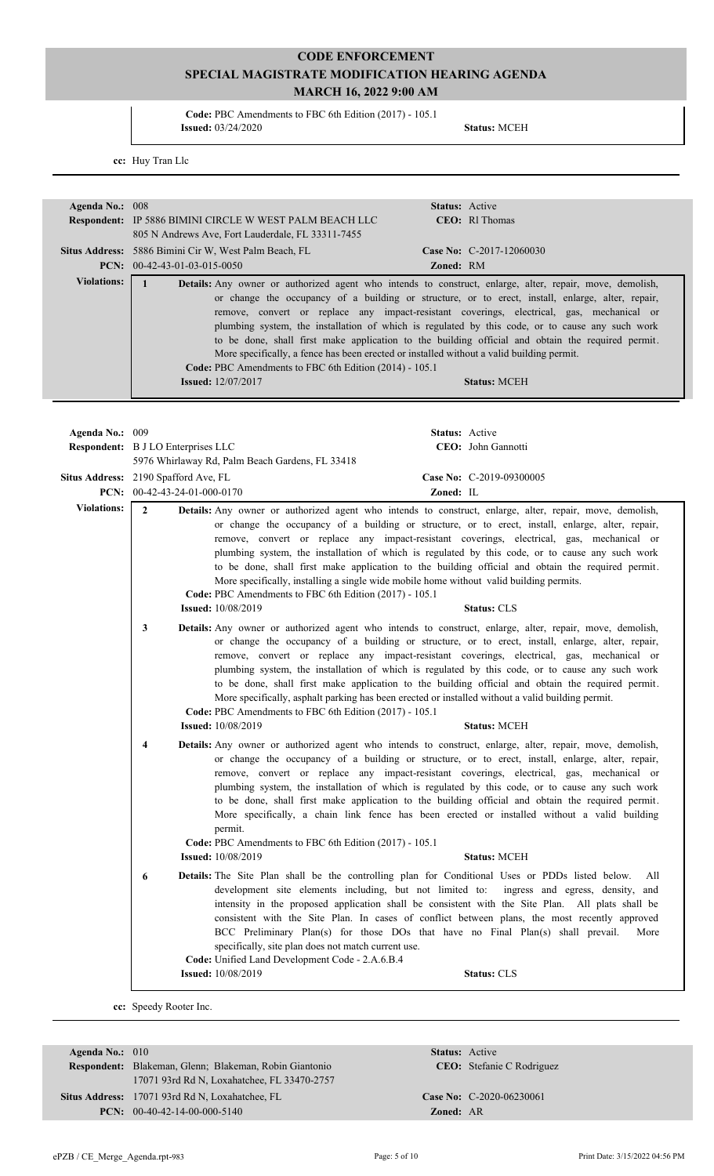**Code:** PBC Amendments to FBC 6th Edition (2017) - 105.1 **Issued:** 03/24/2020 **Status:** MCEH

**cc:** Huy Tran Llc

| Agenda No.: 008                                                                                                                                                                                                        |                                                                                                                                                                                                                                                                                                                                                                                                                                                                                                                                                                                                                                                                                                                                       | Status: Active                                                                                                                                                                                                                                                                                                                                                                                                                                                                                                                                                                                                                                                                                             |  |  |
|------------------------------------------------------------------------------------------------------------------------------------------------------------------------------------------------------------------------|---------------------------------------------------------------------------------------------------------------------------------------------------------------------------------------------------------------------------------------------------------------------------------------------------------------------------------------------------------------------------------------------------------------------------------------------------------------------------------------------------------------------------------------------------------------------------------------------------------------------------------------------------------------------------------------------------------------------------------------|------------------------------------------------------------------------------------------------------------------------------------------------------------------------------------------------------------------------------------------------------------------------------------------------------------------------------------------------------------------------------------------------------------------------------------------------------------------------------------------------------------------------------------------------------------------------------------------------------------------------------------------------------------------------------------------------------------|--|--|
|                                                                                                                                                                                                                        | Respondent: IP 5886 BIMINI CIRCLE W WEST PALM BEACH LLC<br>805 N Andrews Ave, Fort Lauderdale, FL 33311-7455                                                                                                                                                                                                                                                                                                                                                                                                                                                                                                                                                                                                                          | CEO: Rl Thomas                                                                                                                                                                                                                                                                                                                                                                                                                                                                                                                                                                                                                                                                                             |  |  |
|                                                                                                                                                                                                                        | Situs Address: 5886 Bimini Cir W, West Palm Beach, FL<br>PCN: $00-42-43-01-03-015-0050$                                                                                                                                                                                                                                                                                                                                                                                                                                                                                                                                                                                                                                               | Case No: C-2017-12060030<br>Zoned: RM                                                                                                                                                                                                                                                                                                                                                                                                                                                                                                                                                                                                                                                                      |  |  |
| <b>Violations:</b><br>$\mathbf{1}$<br>More specifically, a fence has been erected or installed without a valid building permit.<br>Code: PBC Amendments to FBC 6th Edition (2014) - 105.1<br><b>Issued:</b> 12/07/2017 |                                                                                                                                                                                                                                                                                                                                                                                                                                                                                                                                                                                                                                                                                                                                       | Details: Any owner or authorized agent who intends to construct, enlarge, alter, repair, move, demolish,<br>or change the occupancy of a building or structure, or to erect, install, enlarge, alter, repair,<br>remove, convert or replace any impact-resistant coverings, electrical, gas, mechanical or<br>plumbing system, the installation of which is regulated by this code, or to cause any such work<br>to be done, shall first make application to the building official and obtain the required permit.<br><b>Status: MCEH</b>                                                                                                                                                                  |  |  |
|                                                                                                                                                                                                                        |                                                                                                                                                                                                                                                                                                                                                                                                                                                                                                                                                                                                                                                                                                                                       |                                                                                                                                                                                                                                                                                                                                                                                                                                                                                                                                                                                                                                                                                                            |  |  |
| Agenda No.: 009                                                                                                                                                                                                        | Respondent: B J LO Enterprises LLC                                                                                                                                                                                                                                                                                                                                                                                                                                                                                                                                                                                                                                                                                                    | Status: Active<br>CEO: John Gannotti                                                                                                                                                                                                                                                                                                                                                                                                                                                                                                                                                                                                                                                                       |  |  |
|                                                                                                                                                                                                                        | 5976 Whirlaway Rd, Palm Beach Gardens, FL 33418                                                                                                                                                                                                                                                                                                                                                                                                                                                                                                                                                                                                                                                                                       |                                                                                                                                                                                                                                                                                                                                                                                                                                                                                                                                                                                                                                                                                                            |  |  |
|                                                                                                                                                                                                                        | Situs Address: 2190 Spafford Ave, FL<br>PCN: $00-42-43-24-01-000-0170$                                                                                                                                                                                                                                                                                                                                                                                                                                                                                                                                                                                                                                                                | Case No: C-2019-09300005<br>Zoned: IL                                                                                                                                                                                                                                                                                                                                                                                                                                                                                                                                                                                                                                                                      |  |  |
| <b>Violations:</b>                                                                                                                                                                                                     | $\overline{2}$<br>Details: Any owner or authorized agent who intends to construct, enlarge, alter, repair, move, demolish,<br>or change the occupancy of a building or structure, or to erect, install, enlarge, alter, repair,<br>remove, convert or replace any impact-resistant coverings, electrical, gas, mechanical or<br>plumbing system, the installation of which is regulated by this code, or to cause any such work<br>to be done, shall first make application to the building official and obtain the required permit.<br>More specifically, installing a single wide mobile home without valid building permits.<br>Code: PBC Amendments to FBC 6th Edition (2017) - 105.1<br><b>Issued:</b> 10/08/2019<br>Status: CLS |                                                                                                                                                                                                                                                                                                                                                                                                                                                                                                                                                                                                                                                                                                            |  |  |
|                                                                                                                                                                                                                        | 3<br><b>Issued:</b> 10/08/2019                                                                                                                                                                                                                                                                                                                                                                                                                                                                                                                                                                                                                                                                                                        | Details: Any owner or authorized agent who intends to construct, enlarge, alter, repair, move, demolish,<br>or change the occupancy of a building or structure, or to erect, install, enlarge, alter, repair,<br>remove, convert or replace any impact-resistant coverings, electrical, gas, mechanical or<br>plumbing system, the installation of which is regulated by this code, or to cause any such work<br>to be done, shall first make application to the building official and obtain the required permit.<br>More specifically, asphalt parking has been erected or installed without a valid building permit.<br>Code: PBC Amendments to FBC 6th Edition (2017) - 105.1<br><b>Status: MCEH</b>   |  |  |
|                                                                                                                                                                                                                        | 4<br>permit.<br><b>Issued:</b> 10/08/2019                                                                                                                                                                                                                                                                                                                                                                                                                                                                                                                                                                                                                                                                                             | <b>Details:</b> Any owner or authorized agent who intends to construct, enlarge, alter, repair, move, demolish,<br>or change the occupancy of a building or structure, or to erect, install, enlarge, alter, repair,<br>remove, convert or replace any impact-resistant coverings, electrical, gas, mechanical or<br>plumbing system, the installation of which is regulated by this code, or to cause any such work<br>to be done, shall first make application to the building official and obtain the required permit.<br>More specifically, a chain link fence has been erected or installed without a valid building<br>Code: PBC Amendments to FBC 6th Edition (2017) - 105.1<br><b>Status: MCEH</b> |  |  |
|                                                                                                                                                                                                                        | Details: The Site Plan shall be the controlling plan for Conditional Uses or PDDs listed below.<br>6<br>All<br>development site elements including, but not limited to:<br>ingress and egress, density, and<br>intensity in the proposed application shall be consistent with the Site Plan. All plats shall be<br>consistent with the Site Plan. In cases of conflict between plans, the most recently approved<br>BCC Preliminary Plan(s) for those DOs that have no Final Plan(s) shall prevail.<br>More<br>specifically, site plan does not match current use.<br>Code: Unified Land Development Code - 2.A.6.B.4                                                                                                                 |                                                                                                                                                                                                                                                                                                                                                                                                                                                                                                                                                                                                                                                                                                            |  |  |
|                                                                                                                                                                                                                        | <b>Issued:</b> 10/08/2019                                                                                                                                                                                                                                                                                                                                                                                                                                                                                                                                                                                                                                                                                                             | Status: CLS                                                                                                                                                                                                                                                                                                                                                                                                                                                                                                                                                                                                                                                                                                |  |  |

| Agenda No.: $010$ |                                                        |                  | <b>Status:</b> Active            |
|-------------------|--------------------------------------------------------|------------------|----------------------------------|
|                   | Respondent: Blakeman, Glenn; Blakeman, Robin Giantonio |                  | <b>CEO:</b> Stefanie C Rodriguez |
|                   | 17071 93rd Rd N, Loxahatchee, FL 33470-2757            |                  |                                  |
|                   | Situs Address: 17071 93rd Rd N, Loxahatchee, FL        |                  | Case No: C-2020-06230061         |
|                   | <b>PCN:</b> $00-40-42-14-00-000-5140$                  | <b>Zoned: AR</b> |                                  |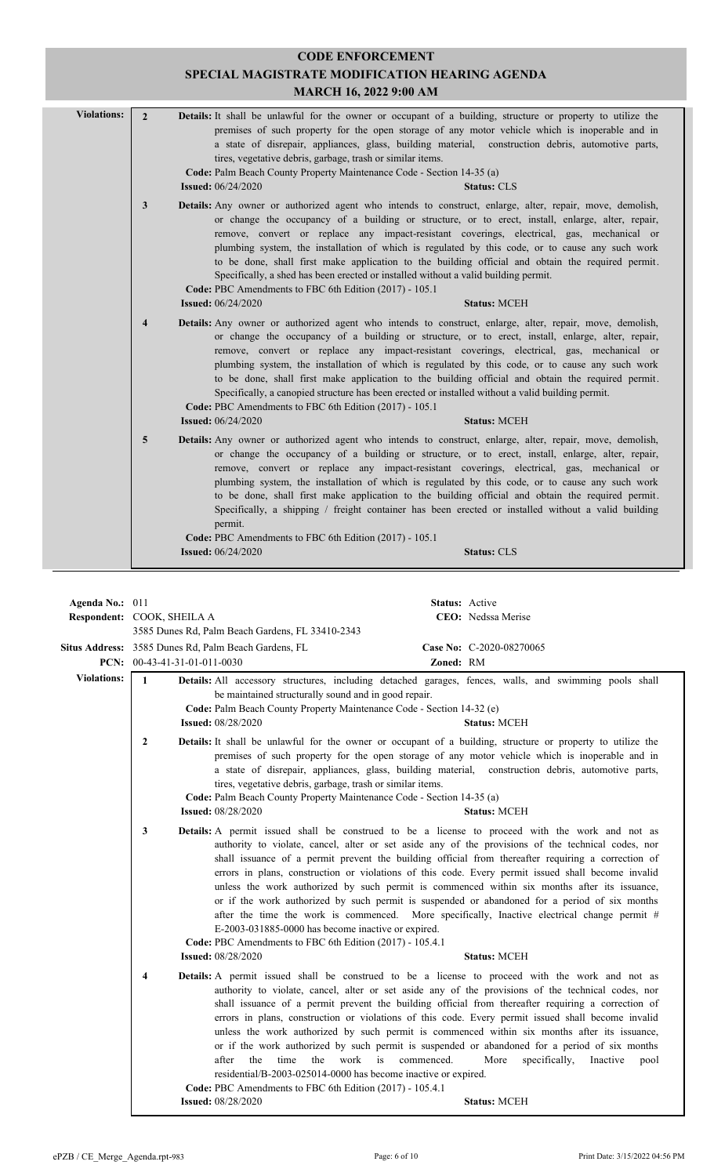|                                      | <b>MARCH 16, 2022 9:00 AM</b>                                                                                                                                                                                                                                                                                                                                                                                                                                                                                                                                                                                                                                                                                                                                                                         |
|--------------------------------------|-------------------------------------------------------------------------------------------------------------------------------------------------------------------------------------------------------------------------------------------------------------------------------------------------------------------------------------------------------------------------------------------------------------------------------------------------------------------------------------------------------------------------------------------------------------------------------------------------------------------------------------------------------------------------------------------------------------------------------------------------------------------------------------------------------|
| <b>Violations:</b><br>$\overline{2}$ | Details: It shall be unlawful for the owner or occupant of a building, structure or property to utilize the<br>premises of such property for the open storage of any motor vehicle which is inoperable and in<br>a state of disrepair, appliances, glass, building material, construction debris, automotive parts,<br>tires, vegetative debris, garbage, trash or similar items.<br>Code: Palm Beach County Property Maintenance Code - Section 14-35 (a)<br><b>Issued:</b> 06/24/2020<br><b>Status: CLS</b>                                                                                                                                                                                                                                                                                         |
| 3                                    | Details: Any owner or authorized agent who intends to construct, enlarge, alter, repair, move, demolish,<br>or change the occupancy of a building or structure, or to erect, install, enlarge, alter, repair,<br>remove, convert or replace any impact-resistant coverings, electrical, gas, mechanical or<br>plumbing system, the installation of which is regulated by this code, or to cause any such work<br>to be done, shall first make application to the building official and obtain the required permit.<br>Specifically, a shed has been erected or installed without a valid building permit.<br>Code: PBC Amendments to FBC 6th Edition (2017) - 105.1<br><b>Issued:</b> 06/24/2020<br><b>Status: MCEH</b>                                                                               |
| $\overline{4}$                       | <b>Details:</b> Any owner or authorized agent who intends to construct, enlarge, alter, repair, move, demolish,<br>or change the occupancy of a building or structure, or to erect, install, enlarge, alter, repair,<br>remove, convert or replace any impact-resistant coverings, electrical, gas, mechanical or<br>plumbing system, the installation of which is regulated by this code, or to cause any such work<br>to be done, shall first make application to the building official and obtain the required permit.<br>Specifically, a canopied structure has been erected or installed without a valid building permit.<br>Code: PBC Amendments to FBC 6th Edition (2017) - 105.1                                                                                                              |
| 5                                    | <b>Issued:</b> 06/24/2020<br><b>Status: MCEH</b><br>Details: Any owner or authorized agent who intends to construct, enlarge, alter, repair, move, demolish,<br>or change the occupancy of a building or structure, or to erect, install, enlarge, alter, repair,<br>remove, convert or replace any impact-resistant coverings, electrical, gas, mechanical or<br>plumbing system, the installation of which is regulated by this code, or to cause any such work<br>to be done, shall first make application to the building official and obtain the required permit.<br>Specifically, a shipping / freight container has been erected or installed without a valid building<br>permit.<br>Code: PBC Amendments to FBC 6th Edition (2017) - 105.1<br><b>Issued:</b> 06/24/2020<br><b>Status: CLS</b> |

|                    | Respondent: COOK, SHEILA A                                                                                                                                                                                                                                                                                                                                                                                                                                                                                                                                                                                                                                                                                                                                                                                                                                                                           | CEO: Nedssa Merise                                                                                                                                                                                                                                                                                                                                                                                                                                                                                                                                                                                                                                                                                                |  |  |
|--------------------|------------------------------------------------------------------------------------------------------------------------------------------------------------------------------------------------------------------------------------------------------------------------------------------------------------------------------------------------------------------------------------------------------------------------------------------------------------------------------------------------------------------------------------------------------------------------------------------------------------------------------------------------------------------------------------------------------------------------------------------------------------------------------------------------------------------------------------------------------------------------------------------------------|-------------------------------------------------------------------------------------------------------------------------------------------------------------------------------------------------------------------------------------------------------------------------------------------------------------------------------------------------------------------------------------------------------------------------------------------------------------------------------------------------------------------------------------------------------------------------------------------------------------------------------------------------------------------------------------------------------------------|--|--|
|                    | 3585 Dunes Rd, Palm Beach Gardens, FL 33410-2343                                                                                                                                                                                                                                                                                                                                                                                                                                                                                                                                                                                                                                                                                                                                                                                                                                                     |                                                                                                                                                                                                                                                                                                                                                                                                                                                                                                                                                                                                                                                                                                                   |  |  |
|                    | Situs Address: 3585 Dunes Rd, Palm Beach Gardens, FL                                                                                                                                                                                                                                                                                                                                                                                                                                                                                                                                                                                                                                                                                                                                                                                                                                                 | Case No: C-2020-08270065                                                                                                                                                                                                                                                                                                                                                                                                                                                                                                                                                                                                                                                                                          |  |  |
|                    | PCN: $00-43-41-31-01-011-0030$                                                                                                                                                                                                                                                                                                                                                                                                                                                                                                                                                                                                                                                                                                                                                                                                                                                                       | Zoned: RM                                                                                                                                                                                                                                                                                                                                                                                                                                                                                                                                                                                                                                                                                                         |  |  |
| <b>Violations:</b> | $\mathbf{1}$<br>be maintained structurally sound and in good repair.<br>Code: Palm Beach County Property Maintenance Code - Section 14-32 (e)<br><b>Issued:</b> 08/28/2020                                                                                                                                                                                                                                                                                                                                                                                                                                                                                                                                                                                                                                                                                                                           | Details: All accessory structures, including detached garages, fences, walls, and swimming pools shall<br><b>Status: MCEH</b>                                                                                                                                                                                                                                                                                                                                                                                                                                                                                                                                                                                     |  |  |
|                    | Details: It shall be unlawful for the owner or occupant of a building, structure or property to utilize the<br>$\mathbf{2}$<br>premises of such property for the open storage of any motor vehicle which is inoperable and in<br>a state of disrepair, appliances, glass, building material, construction debris, automotive parts,<br>tires, vegetative debris, garbage, trash or similar items.<br>Code: Palm Beach County Property Maintenance Code - Section 14-35 (a)<br><b>Issued:</b> 08/28/2020<br><b>Status: MCEH</b>                                                                                                                                                                                                                                                                                                                                                                       |                                                                                                                                                                                                                                                                                                                                                                                                                                                                                                                                                                                                                                                                                                                   |  |  |
|                    | 3<br><b>Details:</b> A permit issued shall be construed to be a license to proceed with the work and not as<br>authority to violate, cancel, alter or set aside any of the provisions of the technical codes, nor<br>shall issuance of a permit prevent the building official from thereafter requiring a correction of<br>errors in plans, construction or violations of this code. Every permit issued shall become invalid<br>unless the work authorized by such permit is commenced within six months after its issuance,<br>or if the work authorized by such permit is suspended or abandoned for a period of six months<br>after the time the work is commenced. More specifically, Inactive electrical change permit #<br>E-2003-031885-0000 has become inactive or expired.<br>Code: PBC Amendments to FBC 6th Edition (2017) - 105.4.1<br><b>Issued: 08/28/2020</b><br><b>Status: MCEH</b> |                                                                                                                                                                                                                                                                                                                                                                                                                                                                                                                                                                                                                                                                                                                   |  |  |
|                    | 4<br>the<br>the<br>work<br>after<br>time<br>residential/B-2003-025014-0000 has become inactive or expired.<br>Code: PBC Amendments to FBC 6th Edition (2017) - 105.4.1<br><b>Issued: 08/28/2020</b>                                                                                                                                                                                                                                                                                                                                                                                                                                                                                                                                                                                                                                                                                                  | <b>Details:</b> A permit issued shall be construed to be a license to proceed with the work and not as<br>authority to violate, cancel, alter or set aside any of the provisions of the technical codes, nor<br>shall issuance of a permit prevent the building official from thereafter requiring a correction of<br>errors in plans, construction or violations of this code. Every permit issued shall become invalid<br>unless the work authorized by such permit is commenced within six months after its issuance,<br>or if the work authorized by such permit is suspended or abandoned for a period of six months<br>is<br>commenced.<br>More<br>specifically,<br>Inactive<br>pool<br><b>Status: MCEH</b> |  |  |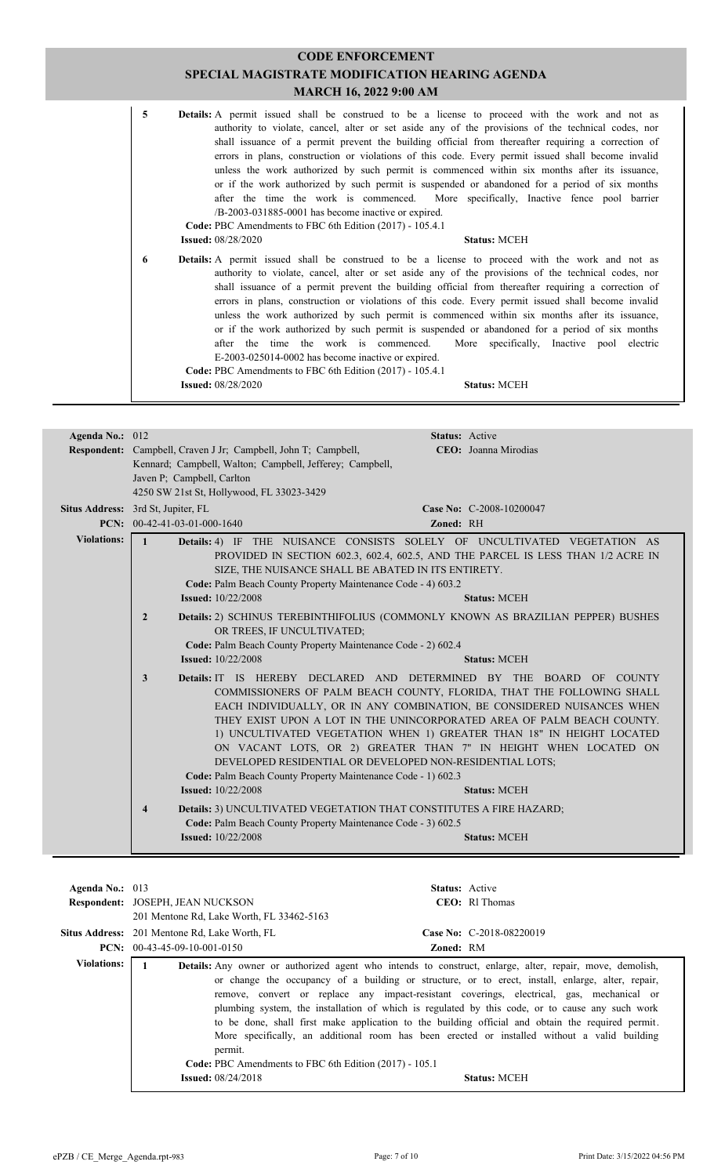| 5 | <b>Details:</b> A permit issued shall be construed to be a license to proceed with the work and not as<br>authority to violate, cancel, alter or set aside any of the provisions of the technical codes, nor<br>shall issuance of a permit prevent the building official from thereafter requiring a correction of<br>errors in plans, construction or violations of this code. Every permit issued shall become invalid<br>unless the work authorized by such permit is commenced within six months after its issuance,<br>or if the work authorized by such permit is suspended or abandoned for a period of six months<br>after the time the work is commenced. More specifically, Inactive fence pool barrier<br>$/B-2003-031885-0001$ has become inactive or expired.<br>Code: PBC Amendments to FBC 6th Edition (2017) - 105.4.1<br><b>Issued:</b> 08/28/2020<br><b>Status: MCEH</b> |
|---|--------------------------------------------------------------------------------------------------------------------------------------------------------------------------------------------------------------------------------------------------------------------------------------------------------------------------------------------------------------------------------------------------------------------------------------------------------------------------------------------------------------------------------------------------------------------------------------------------------------------------------------------------------------------------------------------------------------------------------------------------------------------------------------------------------------------------------------------------------------------------------------------|
| 6 | Details: A permit issued shall be construed to be a license to proceed with the work and not as<br>authority to violate, cancel, alter or set aside any of the provisions of the technical codes, nor<br>shall issuance of a permit prevent the building official from thereafter requiring a correction of<br>errors in plans, construction or violations of this code. Every permit issued shall become invalid<br>unless the work authorized by such permit is commenced within six months after its issuance,<br>or if the work authorized by such permit is suspended or abandoned for a period of six months<br>after the time the work is commenced. More specifically, Inactive pool electric<br>E-2003-025014-0002 has become inactive or expired.<br>Code: PBC Amendments to FBC 6th Edition (2017) - 105.4.1<br><b>Issued:</b> 08/28/2020<br><b>Status: MCEH</b>                |

| Agenda No.: 012    | Status: Active                                                                                                                                                                                                                                                                                                                                                                                                                                                                                                                                                                                                                     |  |  |  |
|--------------------|------------------------------------------------------------------------------------------------------------------------------------------------------------------------------------------------------------------------------------------------------------------------------------------------------------------------------------------------------------------------------------------------------------------------------------------------------------------------------------------------------------------------------------------------------------------------------------------------------------------------------------|--|--|--|
|                    | Respondent: Campbell, Craven J Jr; Campbell, John T; Campbell,<br>CEO: Joanna Mirodias                                                                                                                                                                                                                                                                                                                                                                                                                                                                                                                                             |  |  |  |
|                    | Kennard; Campbell, Walton; Campbell, Jefferey; Campbell,                                                                                                                                                                                                                                                                                                                                                                                                                                                                                                                                                                           |  |  |  |
|                    | Javen P; Campbell, Carlton                                                                                                                                                                                                                                                                                                                                                                                                                                                                                                                                                                                                         |  |  |  |
|                    | 4250 SW 21st St, Hollywood, FL 33023-3429                                                                                                                                                                                                                                                                                                                                                                                                                                                                                                                                                                                          |  |  |  |
|                    | Situs Address: 3rd St, Jupiter, FL<br>Case No: C-2008-10200047                                                                                                                                                                                                                                                                                                                                                                                                                                                                                                                                                                     |  |  |  |
|                    | $PCN: 00-42-41-03-01-000-1640$<br>Zoned: RH                                                                                                                                                                                                                                                                                                                                                                                                                                                                                                                                                                                        |  |  |  |
| <b>Violations:</b> | Details: 4) IF THE NUISANCE CONSISTS SOLELY OF UNCULTIVATED VEGETATION AS<br>$\mathbf{1}$                                                                                                                                                                                                                                                                                                                                                                                                                                                                                                                                          |  |  |  |
|                    | PROVIDED IN SECTION 602.3, 602.4, 602.5, AND THE PARCEL IS LESS THAN 1/2 ACRE IN                                                                                                                                                                                                                                                                                                                                                                                                                                                                                                                                                   |  |  |  |
|                    | SIZE, THE NUISANCE SHALL BE ABATED IN ITS ENTIRETY.                                                                                                                                                                                                                                                                                                                                                                                                                                                                                                                                                                                |  |  |  |
|                    | Code: Palm Beach County Property Maintenance Code - 4) 603.2                                                                                                                                                                                                                                                                                                                                                                                                                                                                                                                                                                       |  |  |  |
|                    | <b>Issued:</b> 10/22/2008<br><b>Status: MCEH</b>                                                                                                                                                                                                                                                                                                                                                                                                                                                                                                                                                                                   |  |  |  |
|                    | Details: 2) SCHINUS TEREBINTHIFOLIUS (COMMONLY KNOWN AS BRAZILIAN PEPPER) BUSHES<br>$\overline{2}$<br>OR TREES, IF UNCULTIVATED;                                                                                                                                                                                                                                                                                                                                                                                                                                                                                                   |  |  |  |
|                    | Code: Palm Beach County Property Maintenance Code - 2) 602.4                                                                                                                                                                                                                                                                                                                                                                                                                                                                                                                                                                       |  |  |  |
|                    | <b>Issued:</b> 10/22/2008<br><b>Status: MCEH</b>                                                                                                                                                                                                                                                                                                                                                                                                                                                                                                                                                                                   |  |  |  |
|                    | Details: IT IS HEREBY DECLARED AND DETERMINED BY THE BOARD OF COUNTY<br>3<br>COMMISSIONERS OF PALM BEACH COUNTY, FLORIDA, THAT THE FOLLOWING SHALL<br>EACH INDIVIDUALLY, OR IN ANY COMBINATION, BE CONSIDERED NUISANCES WHEN<br>THEY EXIST UPON A LOT IN THE UNINCORPORATED AREA OF PALM BEACH COUNTY.<br>1) UNCULTIVATED VEGETATION WHEN 1) GREATER THAN 18" IN HEIGHT LOCATED<br>ON VACANT LOTS, OR 2) GREATER THAN 7" IN HEIGHT WHEN LOCATED ON<br>DEVELOPED RESIDENTIAL OR DEVELOPED NON-RESIDENTIAL LOTS;<br>Code: Palm Beach County Property Maintenance Code - 1) 602.3<br><b>Issued:</b> 10/22/2008<br><b>Status: MCEH</b> |  |  |  |
|                    | Details: 3) UNCULTIVATED VEGETATION THAT CONSTITUTES A FIRE HAZARD;<br>$\overline{\mathbf{4}}$<br>Code: Palm Beach County Property Maintenance Code - 3) 602.5                                                                                                                                                                                                                                                                                                                                                                                                                                                                     |  |  |  |
|                    | <b>Issued:</b> 10/22/2008<br><b>Status: MCEH</b>                                                                                                                                                                                                                                                                                                                                                                                                                                                                                                                                                                                   |  |  |  |

| Agenda No.: $013$  | Respondent: JOSEPH, JEAN NUCKSON<br>201 Mentone Rd, Lake Worth, FL 33462-5163                                                                                                                                                                                                                                                                                                                                                                                                                                                                                                                                                                                                                                               | <b>Status:</b> Active<br><b>CEO</b> : RI Thomas |
|--------------------|-----------------------------------------------------------------------------------------------------------------------------------------------------------------------------------------------------------------------------------------------------------------------------------------------------------------------------------------------------------------------------------------------------------------------------------------------------------------------------------------------------------------------------------------------------------------------------------------------------------------------------------------------------------------------------------------------------------------------------|-------------------------------------------------|
|                    | <b>Situs Address:</b> 201 Mentone Rd, Lake Worth, FL                                                                                                                                                                                                                                                                                                                                                                                                                                                                                                                                                                                                                                                                        | Case No: C-2018-08220019                        |
|                    | <b>PCN:</b> $00-43-45-09-10-001-0150$<br><b>Zoned: RM</b>                                                                                                                                                                                                                                                                                                                                                                                                                                                                                                                                                                                                                                                                   |                                                 |
| <b>Violations:</b> | <b>Details:</b> Any owner or authorized agent who intends to construct, enlarge, alter, repair, move, demolish,<br>or change the occupancy of a building or structure, or to erect, install, enlarge, alter, repair,<br>remove, convert or replace any impact-resistant coverings, electrical, gas, mechanical or<br>plumbing system, the installation of which is regulated by this code, or to cause any such work<br>to be done, shall first make application to the building official and obtain the required permit.<br>More specifically, an additional room has been erected or installed without a valid building<br>permit.<br>Code: PBC Amendments to FBC 6th Edition (2017) - 105.1<br><b>Issued:</b> 08/24/2018 | <b>Status: MCEH</b>                             |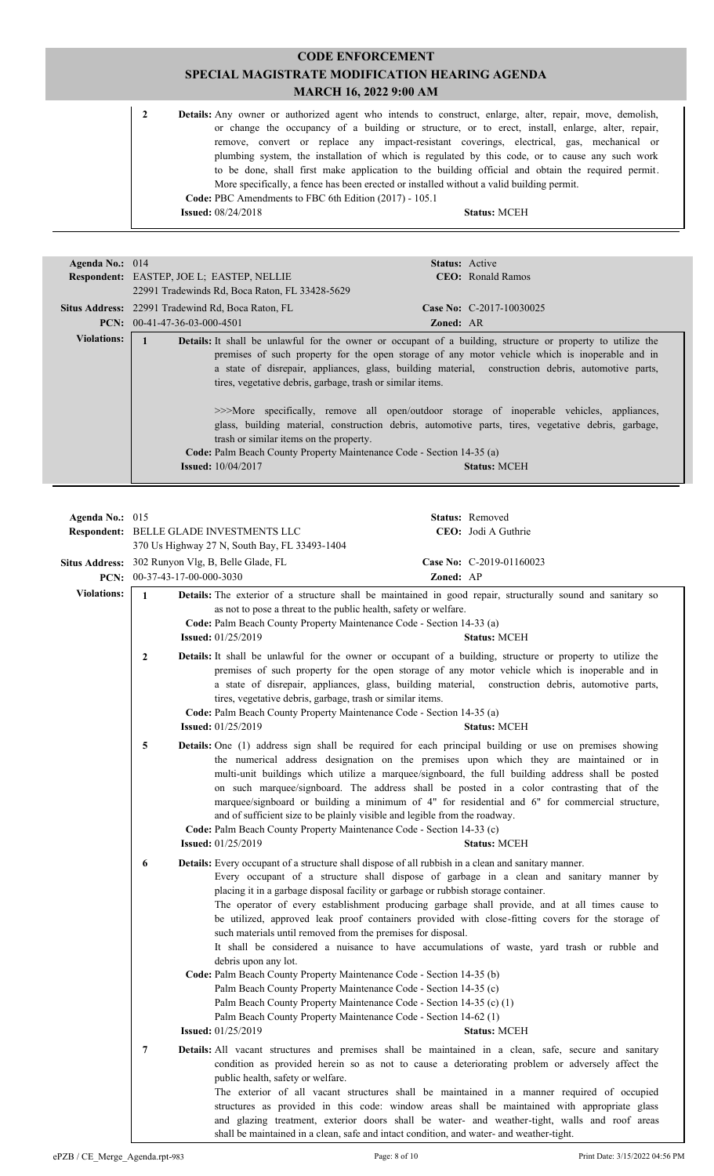**CODE ENFORCEMENT SPECIAL MAGISTRATE MODIFICATION HEARING AGENDA MARCH 16, 2022 9:00 AM** 2 **Details:** Any owner or authorized agent who intends to construct, enlarge, alter, repair, move, demolish, or change the occupancy of a building or structure, or to erect, install, enlarge, alter, repair, remove, convert or replace any impact-resistant coverings, electrical, gas, mechanical or plumbing system, the installation of which is regulated by this code, or to cause any such work to be done, shall first make application to the building official and obtain the required permit. More specifically, a fence has been erected or installed without a valid building permit. **Code:** PBC Amendments to FBC 6th Edition (2017) - 105.1 **Issued:** 08/24/2018 **Status:** MCEH

| Agenda No.: 014                                                                                                                                                                                                                   |                                                          | <b>Status:</b> Active                                                                                                                                                                                                                                                                                                                                                                                                                                                                                                                                 |
|-----------------------------------------------------------------------------------------------------------------------------------------------------------------------------------------------------------------------------------|----------------------------------------------------------|-------------------------------------------------------------------------------------------------------------------------------------------------------------------------------------------------------------------------------------------------------------------------------------------------------------------------------------------------------------------------------------------------------------------------------------------------------------------------------------------------------------------------------------------------------|
|                                                                                                                                                                                                                                   | <b>Respondent:</b> EASTEP, JOE L; EASTEP, NELLIE         | <b>CEO</b> : Ronald Ramos                                                                                                                                                                                                                                                                                                                                                                                                                                                                                                                             |
|                                                                                                                                                                                                                                   | 22991 Tradewinds Rd, Boca Raton, FL 33428-5629           |                                                                                                                                                                                                                                                                                                                                                                                                                                                                                                                                                       |
|                                                                                                                                                                                                                                   | <b>Situs Address:</b> 22991 Tradewind Rd, Boca Raton, FL | Case No: C-2017-10030025                                                                                                                                                                                                                                                                                                                                                                                                                                                                                                                              |
|                                                                                                                                                                                                                                   | <b>PCN:</b> $00-41-47-36-03-000-4501$                    | <b>Zoned: AR</b>                                                                                                                                                                                                                                                                                                                                                                                                                                                                                                                                      |
| <b>Violations:</b><br>tires, vegetative debris, garbage, trash or similar items.<br>trash or similar items on the property.<br>Code: Palm Beach County Property Maintenance Code - Section 14-35 (a)<br><b>Issued:</b> 10/04/2017 |                                                          | <b>Details:</b> It shall be unlawful for the owner or occupant of a building, structure or property to utilize the<br>premises of such property for the open storage of any motor vehicle which is inoperable and in<br>a state of disrepair, appliances, glass, building material, construction debris, automotive parts,<br>>>>More specifically, remove all open/outdoor storage of inoperable vehicles, appliances,<br>glass, building material, construction debris, automotive parts, tires, vegetative debris, garbage,<br><b>Status: MCEH</b> |

| Agenda No.: 015    |                                                   |                                                                                                                                                                                                                                                                                                                                                                                                                                                                                                                                                                                                      |           | Status: Removed                                                                                                                                                                                                                                                                                                                                                                                                                                                                                                             |
|--------------------|---------------------------------------------------|------------------------------------------------------------------------------------------------------------------------------------------------------------------------------------------------------------------------------------------------------------------------------------------------------------------------------------------------------------------------------------------------------------------------------------------------------------------------------------------------------------------------------------------------------------------------------------------------------|-----------|-----------------------------------------------------------------------------------------------------------------------------------------------------------------------------------------------------------------------------------------------------------------------------------------------------------------------------------------------------------------------------------------------------------------------------------------------------------------------------------------------------------------------------|
|                    |                                                   | Respondent: BELLE GLADE INVESTMENTS LLC                                                                                                                                                                                                                                                                                                                                                                                                                                                                                                                                                              |           | CEO: Jodi A Guthrie                                                                                                                                                                                                                                                                                                                                                                                                                                                                                                         |
|                    |                                                   | 370 Us Highway 27 N, South Bay, FL 33493-1404                                                                                                                                                                                                                                                                                                                                                                                                                                                                                                                                                        |           |                                                                                                                                                                                                                                                                                                                                                                                                                                                                                                                             |
|                    | Situs Address: 302 Runyon Vlg, B, Belle Glade, FL |                                                                                                                                                                                                                                                                                                                                                                                                                                                                                                                                                                                                      |           | Case No: C-2019-01160023                                                                                                                                                                                                                                                                                                                                                                                                                                                                                                    |
|                    | PCN: 00-37-43-17-00-000-3030                      |                                                                                                                                                                                                                                                                                                                                                                                                                                                                                                                                                                                                      | Zoned: AP |                                                                                                                                                                                                                                                                                                                                                                                                                                                                                                                             |
| <b>Violations:</b> | $\mathbf{1}$                                      |                                                                                                                                                                                                                                                                                                                                                                                                                                                                                                                                                                                                      |           |                                                                                                                                                                                                                                                                                                                                                                                                                                                                                                                             |
|                    |                                                   | as not to pose a threat to the public health, safety or welfare.<br>Code: Palm Beach County Property Maintenance Code - Section 14-33 (a)<br><b>Issued:</b> 01/25/2019                                                                                                                                                                                                                                                                                                                                                                                                                               |           | Details: The exterior of a structure shall be maintained in good repair, structurally sound and sanitary so<br><b>Status: MCEH</b>                                                                                                                                                                                                                                                                                                                                                                                          |
|                    | 2                                                 | tires, vegetative debris, garbage, trash or similar items.<br>Code: Palm Beach County Property Maintenance Code - Section 14-35 (a)<br><b>Issued:</b> 01/25/2019                                                                                                                                                                                                                                                                                                                                                                                                                                     |           | Details: It shall be unlawful for the owner or occupant of a building, structure or property to utilize the<br>premises of such property for the open storage of any motor vehicle which is inoperable and in<br>a state of disrepair, appliances, glass, building material, construction debris, automotive parts,<br><b>Status: MCEH</b>                                                                                                                                                                                  |
|                    | 5                                                 | and of sufficient size to be plainly visible and legible from the roadway.<br>Code: Palm Beach County Property Maintenance Code - Section 14-33 (c)<br><b>Issued:</b> 01/25/2019                                                                                                                                                                                                                                                                                                                                                                                                                     |           | Details: One (1) address sign shall be required for each principal building or use on premises showing<br>the numerical address designation on the premises upon which they are maintained or in<br>multi-unit buildings which utilize a marquee/signboard, the full building address shall be posted<br>on such marquee/signboard. The address shall be posted in a color contrasting that of the<br>marquee/signboard or building a minimum of 4" for residential and 6" for commercial structure,<br><b>Status: MCEH</b> |
|                    | 6                                                 | Details: Every occupant of a structure shall dispose of all rubbish in a clean and sanitary manner.<br>placing it in a garbage disposal facility or garbage or rubbish storage container.<br>such materials until removed from the premises for disposal.<br>debris upon any lot.<br>Code: Palm Beach County Property Maintenance Code - Section 14-35 (b)<br>Palm Beach County Property Maintenance Code - Section 14-35 (c)<br>Palm Beach County Property Maintenance Code - Section 14-35 (c) (1)<br>Palm Beach County Property Maintenance Code - Section 14-62 (1)<br><b>Issued:</b> 01/25/2019 |           | Every occupant of a structure shall dispose of garbage in a clean and sanitary manner by<br>The operator of every establishment producing garbage shall provide, and at all times cause to<br>be utilized, approved leak proof containers provided with close-fitting covers for the storage of<br>It shall be considered a nuisance to have accumulations of waste, yard trash or rubble and<br><b>Status: MCEH</b>                                                                                                        |
|                    | 7                                                 | public health, safety or welfare.<br>shall be maintained in a clean, safe and intact condition, and water- and weather-tight.                                                                                                                                                                                                                                                                                                                                                                                                                                                                        |           | <b>Details:</b> All vacant structures and premises shall be maintained in a clean, safe, secure and sanitary<br>condition as provided herein so as not to cause a deteriorating problem or adversely affect the<br>The exterior of all vacant structures shall be maintained in a manner required of occupied<br>structures as provided in this code: window areas shall be maintained with appropriate glass<br>and glazing treatment, exterior doors shall be water- and weather-tight, walls and roof areas              |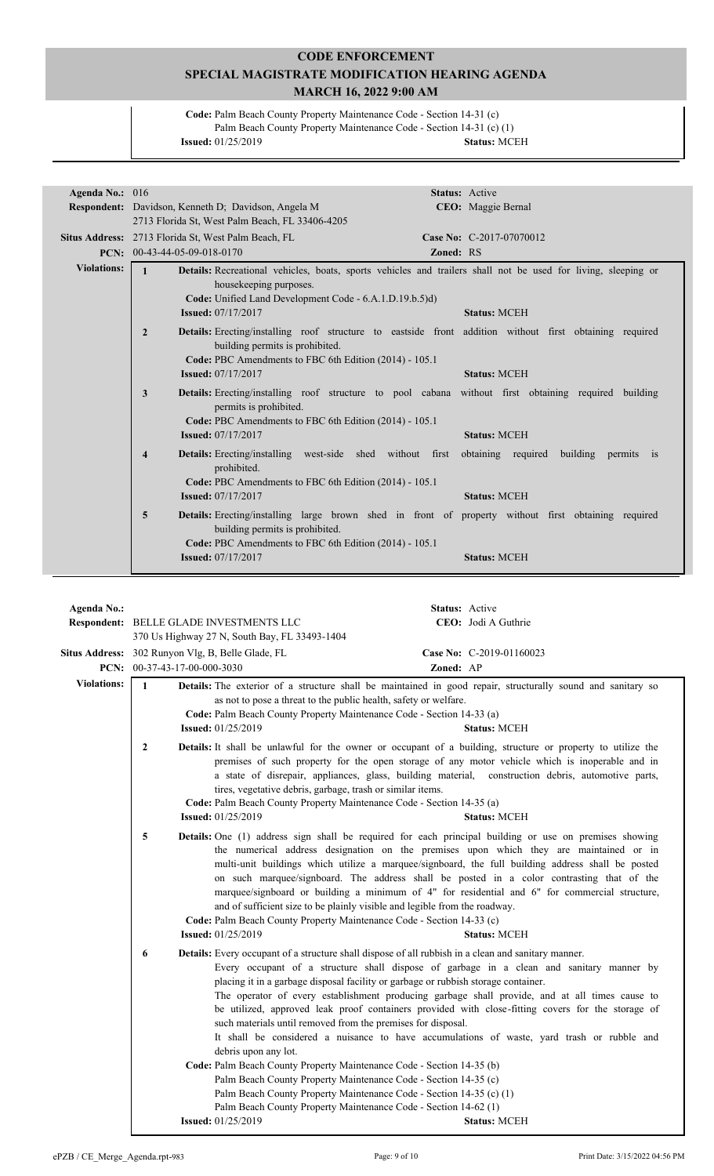**Code:** Palm Beach County Property Maintenance Code - Section 14-31 (c) Palm Beach County Property Maintenance Code - Section 14-31 (c) (1) **Issued:** 01/25/2019 **Status:** MCEH

| Agenda No.: 016    |                                                                                                                                                                     | <b>Status:</b> Active                  |
|--------------------|---------------------------------------------------------------------------------------------------------------------------------------------------------------------|----------------------------------------|
|                    | Respondent: Davidson, Kenneth D; Davidson, Angela M                                                                                                                 | CEO: Maggie Bernal                     |
|                    | 2713 Florida St, West Palm Beach, FL 33406-4205                                                                                                                     |                                        |
|                    | Situs Address: 2713 Florida St, West Palm Beach, FL                                                                                                                 | Case No: C-2017-07070012               |
|                    | <b>PCN:</b> $00-43-44-05-09-018-0170$                                                                                                                               | Zoned: RS                              |
| <b>Violations:</b> | $\mathbf{1}$<br><b>Details:</b> Recreational vehicles, boats, sports vehicles and trailers shall not be used for living, sleeping or                                |                                        |
|                    | housekeeping purposes.                                                                                                                                              |                                        |
|                    | Code: Unified Land Development Code - 6.A.1.D.19.b.5)d)                                                                                                             |                                        |
|                    | <b>Issued:</b> 07/17/2017                                                                                                                                           | <b>Status: MCEH</b>                    |
|                    |                                                                                                                                                                     |                                        |
|                    | $\overline{2}$<br><b>Details:</b> Erecting/installing roof structure to eastside front addition without first obtaining required<br>building permits is prohibited. |                                        |
|                    | Code: PBC Amendments to FBC 6th Edition (2014) - 105.1                                                                                                              |                                        |
|                    | <b>Issued: 07/17/2017</b>                                                                                                                                           | <b>Status: MCEH</b>                    |
|                    | $\mathbf{3}$<br><b>Details:</b> Erecting/installing roof structure to pool cabana without first obtaining required building<br>permits is prohibited.               |                                        |
|                    | Code: PBC Amendments to FBC 6th Edition (2014) - 105.1                                                                                                              |                                        |
|                    | <b>Issued:</b> 07/17/2017                                                                                                                                           | <b>Status: MCEH</b>                    |
|                    | <b>Details:</b> Erecting/installing west-side shed without first<br>$\overline{\mathbf{4}}$<br>prohibited.                                                          | obtaining required building permits is |
|                    | Code: PBC Amendments to FBC 6th Edition (2014) - 105.1                                                                                                              |                                        |
|                    | <b>Issued:</b> 07/17/2017                                                                                                                                           | <b>Status: MCEH</b>                    |
|                    | 5<br><b>Details:</b> Erecting/installing large brown shed in front of property without first obtaining required<br>building permits is prohibited.                  |                                        |
|                    | Code: PBC Amendments to FBC 6th Edition (2014) - 105.1                                                                                                              |                                        |
|                    | <b>Issued:</b> 07/17/2017                                                                                                                                           | <b>Status: MCEH</b>                    |

| <b>Agenda No.:</b> |                                                                                   | <b>Respondent: BELLE GLADE INVESTMENTS LLC</b>                                                                                                                                                                                                                                                                                                                                                                                                                                                                                                                                                              | Status: Active | CEO: Jodi A Guthrie                                                                                                                                                                                                                                                                                                                                                                                                                                                                                                         |
|--------------------|-----------------------------------------------------------------------------------|-------------------------------------------------------------------------------------------------------------------------------------------------------------------------------------------------------------------------------------------------------------------------------------------------------------------------------------------------------------------------------------------------------------------------------------------------------------------------------------------------------------------------------------------------------------------------------------------------------------|----------------|-----------------------------------------------------------------------------------------------------------------------------------------------------------------------------------------------------------------------------------------------------------------------------------------------------------------------------------------------------------------------------------------------------------------------------------------------------------------------------------------------------------------------------|
|                    |                                                                                   | 370 Us Highway 27 N, South Bay, FL 33493-1404                                                                                                                                                                                                                                                                                                                                                                                                                                                                                                                                                               |                | Case No: C-2019-01160023                                                                                                                                                                                                                                                                                                                                                                                                                                                                                                    |
|                    | Situs Address: 302 Runyon Vlg, B, Belle Glade, FL<br>PCN: 00-37-43-17-00-000-3030 |                                                                                                                                                                                                                                                                                                                                                                                                                                                                                                                                                                                                             | Zoned: AP      |                                                                                                                                                                                                                                                                                                                                                                                                                                                                                                                             |
| <b>Violations:</b> | $\mathbf{1}$                                                                      | as not to pose a threat to the public health, safety or welfare.<br>Code: Palm Beach County Property Maintenance Code - Section 14-33 (a)<br><b>Issued:</b> 01/25/2019                                                                                                                                                                                                                                                                                                                                                                                                                                      |                | Details: The exterior of a structure shall be maintained in good repair, structurally sound and sanitary so<br><b>Status: MCEH</b>                                                                                                                                                                                                                                                                                                                                                                                          |
|                    | $\mathbf{2}$                                                                      | tires, vegetative debris, garbage, trash or similar items.<br>Code: Palm Beach County Property Maintenance Code - Section 14-35 (a)<br><b>Issued:</b> 01/25/2019                                                                                                                                                                                                                                                                                                                                                                                                                                            |                | Details: It shall be unlawful for the owner or occupant of a building, structure or property to utilize the<br>premises of such property for the open storage of any motor vehicle which is inoperable and in<br>a state of disrepair, appliances, glass, building material, construction debris, automotive parts,<br><b>Status: MCEH</b>                                                                                                                                                                                  |
|                    | 5                                                                                 | and of sufficient size to be plainly visible and legible from the roadway.<br>Code: Palm Beach County Property Maintenance Code - Section 14-33 (c)<br><b>Issued:</b> 01/25/2019                                                                                                                                                                                                                                                                                                                                                                                                                            |                | Details: One (1) address sign shall be required for each principal building or use on premises showing<br>the numerical address designation on the premises upon which they are maintained or in<br>multi-unit buildings which utilize a marquee/signboard, the full building address shall be posted<br>on such marquee/signboard. The address shall be posted in a color contrasting that of the<br>marquee/signboard or building a minimum of 4" for residential and 6" for commercial structure,<br><b>Status: MCEH</b> |
|                    | 6                                                                                 | <b>Details:</b> Every occupant of a structure shall dispose of all rubbish in a clean and sanitary manner.<br>placing it in a garbage disposal facility or garbage or rubbish storage container.<br>such materials until removed from the premises for disposal.<br>debris upon any lot.<br>Code: Palm Beach County Property Maintenance Code - Section 14-35 (b)<br>Palm Beach County Property Maintenance Code - Section 14-35 (c)<br>Palm Beach County Property Maintenance Code - Section 14-35 (c) (1)<br>Palm Beach County Property Maintenance Code - Section 14-62 (1)<br><b>Issued:</b> 01/25/2019 |                | Every occupant of a structure shall dispose of garbage in a clean and sanitary manner by<br>The operator of every establishment producing garbage shall provide, and at all times cause to<br>be utilized, approved leak proof containers provided with close-fitting covers for the storage of<br>It shall be considered a nuisance to have accumulations of waste, yard trash or rubble and<br><b>Status: MCEH</b>                                                                                                        |